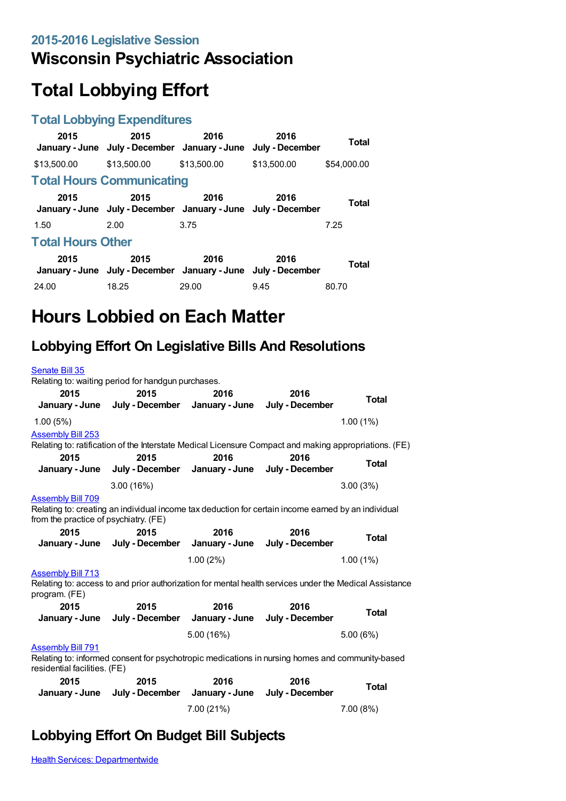# **Wisconsin Psychiatric Association**

# **Total Lobbying Effort**

### **Total Lobbying Expenditures**

| Total                    | 2016<br>July - December | 2016        | 2015<br>January - June July - December January - June                 | 2015        |  |
|--------------------------|-------------------------|-------------|-----------------------------------------------------------------------|-------------|--|
| \$54,000.00              | \$13,500.00             | \$13,500.00 | \$13,500.00                                                           | \$13,500.00 |  |
|                          |                         |             | <b>Total Hours Communicating</b>                                      |             |  |
| Total                    | 2016                    | 2016        | 2015<br>January - June July - December January - June July - December | 2015        |  |
| 7.25                     |                         | 3.75        | 2.00                                                                  | 1.50        |  |
| <b>Total Hours Other</b> |                         |             |                                                                       |             |  |
| Total                    | 2016                    | 2016        | 2015<br>January - June July - December January - June July - December | 2015        |  |
| 80.70                    | 9.45                    | 29.00       | 18.25                                                                 | 24.00       |  |

# **Hours Lobbied on Each Matter**

### **Lobbying Effort On Legislative Bills And Resolutions**

| Senate Bill 35                                                                                                                                      |                                                                                                       |                        |                         |              |  |
|-----------------------------------------------------------------------------------------------------------------------------------------------------|-------------------------------------------------------------------------------------------------------|------------------------|-------------------------|--------------|--|
| 2015<br>January - June                                                                                                                              | Relating to: waiting period for handgun purchases.<br>2015<br>July - December January - June          | 2016                   | 2016<br>July - December | <b>Total</b> |  |
| 1.00(5%)                                                                                                                                            |                                                                                                       |                        |                         | 1.00(1%)     |  |
| <b>Assembly Bill 253</b>                                                                                                                            | Relating to: ratification of the Interstate Medical Licensure Compact and making appropriations. (FE) |                        |                         |              |  |
| 2015<br>January - June                                                                                                                              | 2015<br>July - December                                                                               | 2016<br>January - June | 2016<br>July - December | <b>Total</b> |  |
|                                                                                                                                                     | 3.00(16%)                                                                                             |                        |                         | 3.00(3%)     |  |
| <b>Assembly Bill 709</b><br>from the practice of psychiatry. (FE)                                                                                   | Relating to: creating an individual income tax deduction for certain income earned by an individual   |                        |                         |              |  |
| 2015                                                                                                                                                | 2015                                                                                                  | 2016                   | 2016                    | <b>Total</b> |  |
| January - June                                                                                                                                      | July - December January - June                                                                        |                        | July - December         |              |  |
|                                                                                                                                                     |                                                                                                       | 1.00(2%)               |                         | 1.00(1%)     |  |
| <b>Assembly Bill 713</b><br>Relating to: access to and prior authorization for mental health services under the Medical Assistance<br>program. (FE) |                                                                                                       |                        |                         |              |  |
| 2015                                                                                                                                                | 2015                                                                                                  | 2016                   | 2016                    | <b>Total</b> |  |
| January - June                                                                                                                                      | July - December                                                                                       | January - June         | July - December         |              |  |
|                                                                                                                                                     |                                                                                                       | 5.00 (16%)             |                         | 5.00(6%)     |  |
| <b>Assembly Bill 791</b><br>residential facilities. (FE)                                                                                            | Relating to: informed consent for psychotropic medications in nursing homes and community-based       |                        |                         |              |  |
| 2015<br>January - June                                                                                                                              | 2015<br>July - December January - June                                                                | 2016                   | 2016<br>July - December | <b>Total</b> |  |
|                                                                                                                                                     |                                                                                                       | 7.00 (21%)             |                         | 7.00(8%)     |  |

## **Lobbying Effort On Budget Bill Subjects**

**Health Services: [Departmentwide](https://lobbying.wi.gov/What/BudgetBillSubjectInformation/2015REG/Information/698?tab=Efforts)**